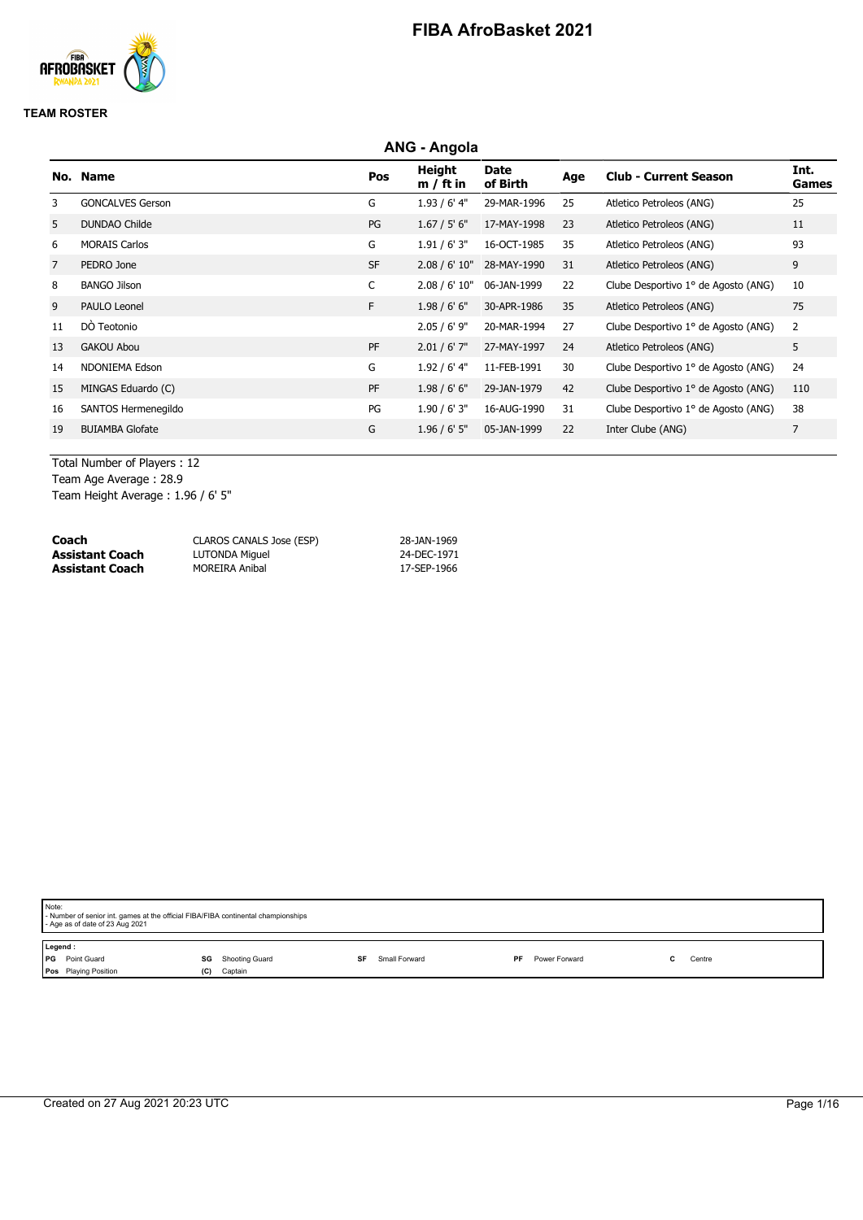

### **TEAM ROSTER**

|                | <b>ANG - Angola</b>     |           |                       |                         |     |                                     |                |  |  |  |
|----------------|-------------------------|-----------|-----------------------|-------------------------|-----|-------------------------------------|----------------|--|--|--|
|                | No. Name                | Pos       | Height<br>$m / ft$ in | <b>Date</b><br>of Birth | Age | <b>Club - Current Season</b>        | Int.<br>Games  |  |  |  |
| 3              | <b>GONCALVES Gerson</b> | G         | $1.93/6'$ 4"          | 29-MAR-1996             | 25  | Atletico Petroleos (ANG)            | 25             |  |  |  |
| 5              | <b>DUNDAO Childe</b>    | PG        | 1.67 / 5' 6''         | 17-MAY-1998             | 23  | Atletico Petroleos (ANG)            | 11             |  |  |  |
| 6              | <b>MORAIS Carlos</b>    | G         | 1.91/6'3''            | 16-OCT-1985             | 35  | Atletico Petroleos (ANG)            | 93             |  |  |  |
| $\overline{7}$ | PEDRO Jone              | <b>SF</b> | 2.08 / 6' 10''        | 28-MAY-1990             | 31  | Atletico Petroleos (ANG)            | 9              |  |  |  |
| 8              | <b>BANGO Jilson</b>     | C         | 2.08 / 6' 10"         | 06-JAN-1999             | 22  | Clube Desportivo 1º de Agosto (ANG) | 10             |  |  |  |
| 9              | PAULO Leonel            | F.        | 1.98 / 6' 6''         | 30-APR-1986             | 35  | Atletico Petroleos (ANG)            | 75             |  |  |  |
| 11             | DÒ Teotonio             |           | $2.05 / 6'$ 9"        | 20-MAR-1994             | 27  | Clube Desportivo 1º de Agosto (ANG) | $\overline{2}$ |  |  |  |
| 13             | <b>GAKOU Abou</b>       | PF        | $2.01 / 6'$ 7"        | 27-MAY-1997             | 24  | Atletico Petroleos (ANG)            | 5              |  |  |  |
| 14             | NDONIEMA Edson          | G         | $1.92/6'$ 4"          | 11-FEB-1991             | 30  | Clube Desportivo 1º de Agosto (ANG) | 24             |  |  |  |
| 15             | MINGAS Eduardo (C)      | PF        | 1.98 / 6' 6''         | 29-JAN-1979             | 42  | Clube Desportivo 1º de Agosto (ANG) | 110            |  |  |  |
| 16             | SANTOS Hermenegildo     | PG        | 1.90 / 6' 3''         | 16-AUG-1990             | 31  | Clube Desportivo 1º de Agosto (ANG) | 38             |  |  |  |
| 19             | <b>BUIAMBA Glofate</b>  | G         | $1.96 / 6'$ 5"        | 05-JAN-1999             | 22  | Inter Clube (ANG)                   | $\overline{7}$ |  |  |  |

Total Number of Players : 12 Team Age Average : 28.9

Team Height Average : 1.96 / 6' 5"

| Coach                  | CLAROS CANALS Jose (ESP) | 28-JAN-1969 |
|------------------------|--------------------------|-------------|
| <b>Assistant Coach</b> | LUTONDA Miguel           | 24-DEC-1971 |
| <b>Assistant Coach</b> | <b>MOREIRA Anibal</b>    | 17-SEP-1966 |

| Note:<br>- Age as of date of 23 Aug 2021                       | - Number of senior int. games at the official FIBA/FIBA continental championships |           |               |    |               |  |        |  |
|----------------------------------------------------------------|-----------------------------------------------------------------------------------|-----------|---------------|----|---------------|--|--------|--|
| Legend:<br>PG Point Guard<br>SG<br>Pos Playing Position<br>(C) | Shooting Guard<br>Captain                                                         | <b>SF</b> | Small Forward | PF | Power Forward |  | Centre |  |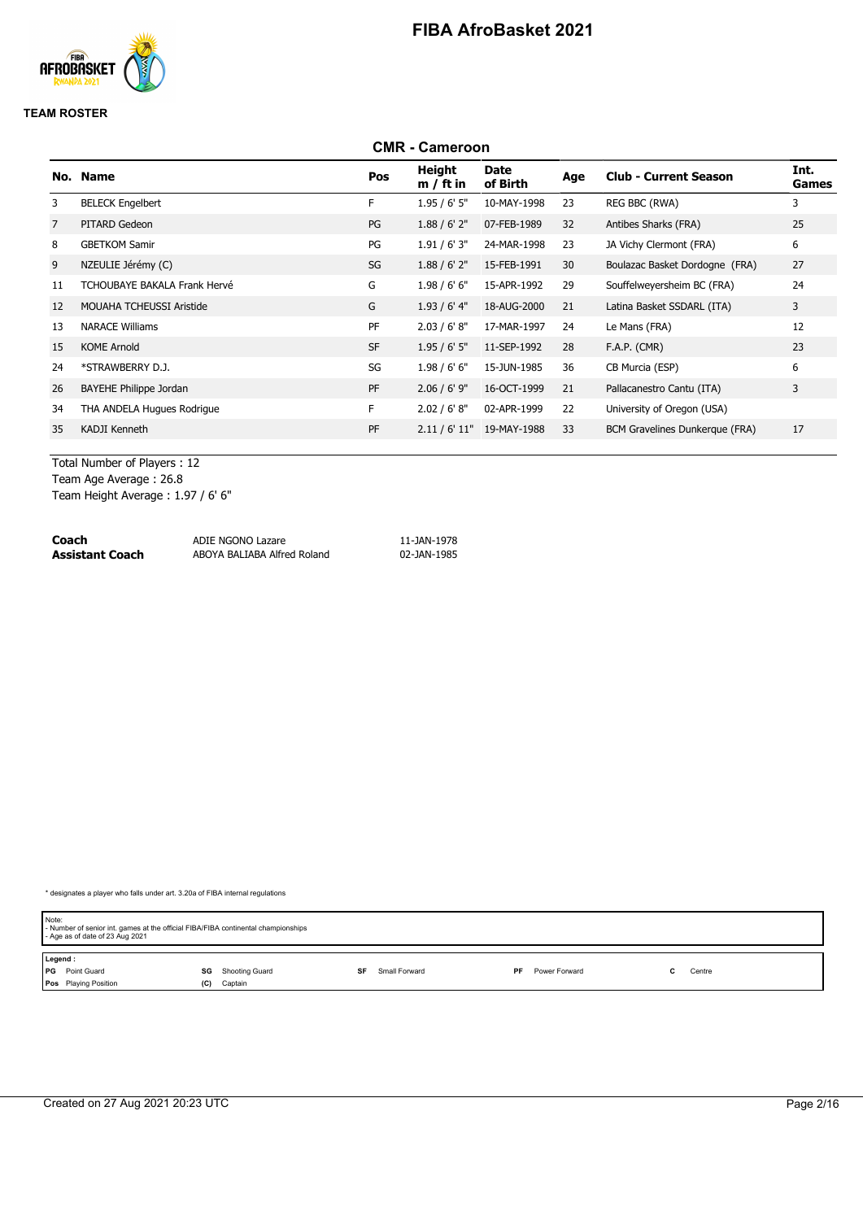

#### **TEAM ROSTER**

#### **CMR - Cameroon No. Name Pos Height m / ft in Date of Birth Age Club - Current Season Int. Games** 3 BELECK Engelbert F 1.95 / 6' 5" 10-MAY-1998 23 REG BBC (RWA) 3 7 PITARD Gedeon PG 1.88 / 6' 2" 07-FEB-1989 32 Antibes Sharks (FRA) 25 8 GBETKOM Samir 2012 1.91 / 6' 3" 24-MAR-1998 23 JA Vichy Clermont (FRA) 6 9 NZEULIE Jérémy (C)  $SO(2)$  SG  $1.88$  / 6' 2"  $15$ -FEB-1991 30 Boulazac Basket Dordogne (FRA) 27 11 TCHOUBAYE BAKALA Frank Hervé G 1.98 / 6' 6" 15-APR-1992 29 Souffelweyersheim BC (FRA) 24 12 MOUAHA TCHEUSSI Aristide G 1.93 / 6' 4" 18-AUG-2000 21 Latina Basket SSDARL (ITA) 3 13 NARACE Williams PF 2.03 / 6' 8" 17-MAR-1997 24 Le Mans (FRA) 12 15 KOME Arnold SF 1.95 / 6' 5" 11-SEP-1992 28 F.A.P. (CMR) 23 24 \*STRAWBERRY D.J. SG 1.98 / 6' 6" 15-JUN-1985 36 CB Murcia (ESP) 6 26 BAYEHE Philippe Jordan 2.06 / 6' 9" 16-OCT-1999 21 Pallacanestro Cantu (ITA) 3 34 THA ANDELA Hugues Rodrigue F 2.02 / 6' 8" 02-APR-1999 22 University of Oregon (USA) 35 KADJI Kenneth PF 2.11 / 6' 11" 19-MAY-1988 33 BCM Gravelines Dunkerque (FRA) 17

Total Number of Players : 12

Team Age Average : 26.8

Team Height Average : 1.97 / 6' 6"

| Coach           | ADIE NGONO Lazare           | 11-JAN-1978 |
|-----------------|-----------------------------|-------------|
| Assistant Coach | ABOYA BALIABA Alfred Roland | 02-JAN-1985 |

| Note:   | - Number of senior int. games at the official FIBA/FIBA continental championships<br>- Age as of date of 23 Aug 2021 |     |                |    |               |    |               |  |        |  |
|---------|----------------------------------------------------------------------------------------------------------------------|-----|----------------|----|---------------|----|---------------|--|--------|--|
| Legend: |                                                                                                                      |     |                |    |               |    |               |  |        |  |
|         | <b>PG</b> Point Guard                                                                                                | SG  | Shooting Guard | SF | Small Forward | PF | Power Forward |  | Centre |  |
|         | Pos Playing Position                                                                                                 | (C) | Captain        |    |               |    |               |  |        |  |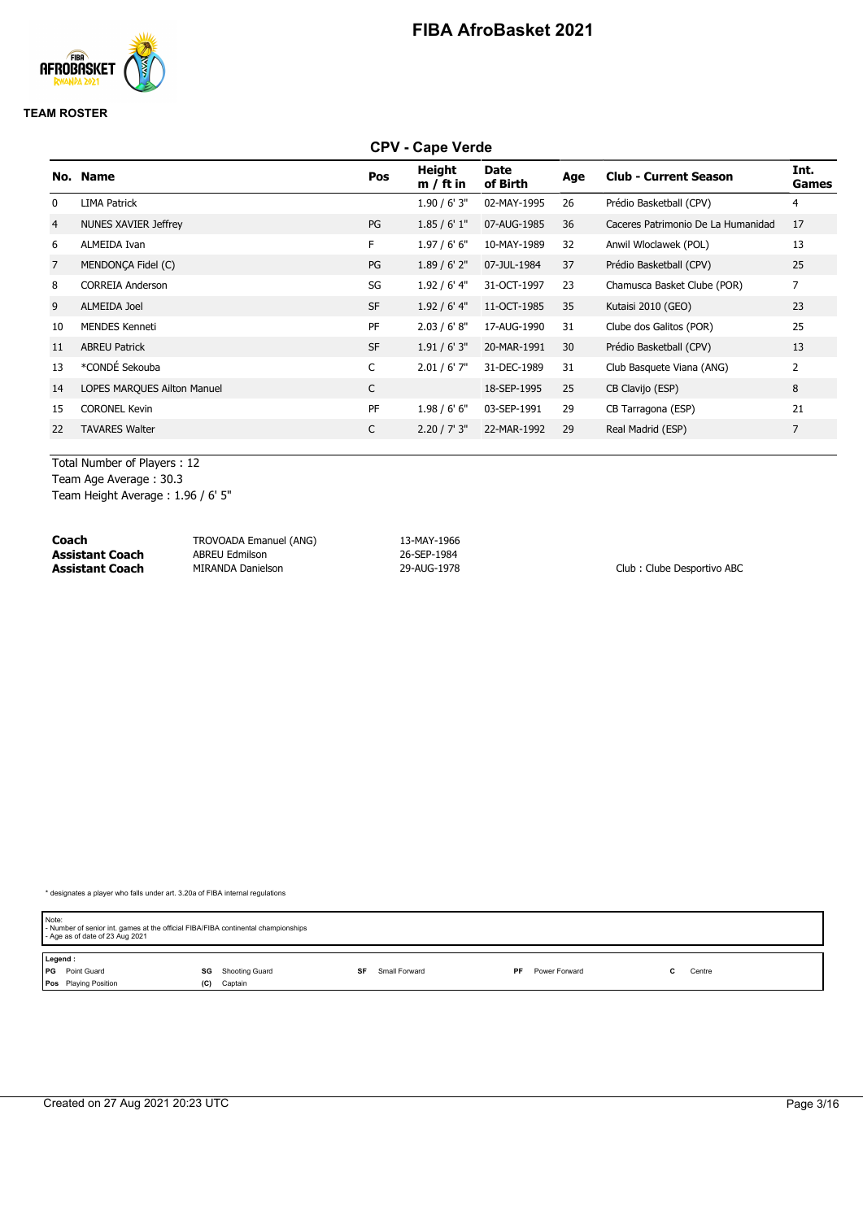

#### **TEAM ROSTER**

### **CPV - Cape Verde**

| No.            | <b>Name</b>                 | Pos       | Height<br>$m / ft$ in | Date<br>of Birth | Age | <b>Club - Current Season</b>       | Int.<br><b>Games</b> |
|----------------|-----------------------------|-----------|-----------------------|------------------|-----|------------------------------------|----------------------|
| 0              | <b>LIMA Patrick</b>         |           | 1.90 / 6' 3''         | 02-MAY-1995      | 26  | Prédio Basketball (CPV)            | 4                    |
| $\overline{4}$ | NUNES XAVIER Jeffrey        | PG        | 1.85/6'1"             | 07-AUG-1985      | 36  | Caceres Patrimonio De La Humanidad | 17                   |
| 6              | ALMEIDA Ivan                | F.        | 1.97/6'6''            | 10-MAY-1989      | 32  | Anwil Wloclawek (POL)              | 13                   |
| 7              | MENDONCA Fidel (C)          | PG        | $1.89/6'$ 2"          | 07-JUL-1984      | 37  | Prédio Basketball (CPV)            | 25                   |
| 8              | <b>CORREIA Anderson</b>     | SG        | 1.92 / 6' 4"          | 31-OCT-1997      | 23  | Chamusca Basket Clube (POR)        | $\overline{7}$       |
| 9              | <b>ALMEIDA Joel</b>         | <b>SF</b> | 1.92 / 6' 4''         | 11-OCT-1985      | 35  | Kutaisi 2010 (GEO)                 | 23                   |
| 10             | <b>MENDES Kenneti</b>       | PF        | 2.03 / 6' 8''         | 17-AUG-1990      | 31  | Clube dos Galitos (POR)            | 25                   |
| 11             | <b>ABREU Patrick</b>        | <b>SF</b> | 1.91 / 6' 3''         | 20-MAR-1991      | 30  | Prédio Basketball (CPV)            | 13                   |
| 13             | *CONDÉ Sekouba              | C         | $2.01 / 6'$ 7"        | 31-DEC-1989      | 31  | Club Basquete Viana (ANG)          | 2                    |
| 14             | LOPES MARQUES Ailton Manuel | C         |                       | 18-SEP-1995      | 25  | CB Clavijo (ESP)                   | 8                    |
| 15             | <b>CORONEL Kevin</b>        | PF        | 1.98/6'6''            | 03-SEP-1991      | 29  | CB Tarragona (ESP)                 | 21                   |
| 22             | <b>TAVARES Walter</b>       | C         | 2.20 / 7' 3''         | 22-MAR-1992      | 29  | Real Madrid (ESP)                  | 7                    |
|                |                             |           |                       |                  |     |                                    |                      |

Total Number of Players : 12 Team Age Average : 30.3

Team Height Average : 1.96 / 6' 5"

| Coach                  | TROVOADA Emanuel (ANG) | 13-MAY-1966 |                            |
|------------------------|------------------------|-------------|----------------------------|
| Assistant Coach        | <b>ABREU Edmilson</b>  | 26-SEP-1984 |                            |
| <b>Assistant Coach</b> | MIRANDA Danielson      | 29-AUG-1978 | Club: Clube Desportivo ABC |

| Note:<br>- Age as of date of 23 Aug 2021 | - Number of senior int. games at the official FIBA/FIBA continental championships |                     |                            |        |  |  |  |  |
|------------------------------------------|-----------------------------------------------------------------------------------|---------------------|----------------------------|--------|--|--|--|--|
| Legend:                                  |                                                                                   |                     |                            |        |  |  |  |  |
| PG Point Guard                           | Shooting Guard<br>SG                                                              | Small Forward<br>SF | Power Forward<br><b>PF</b> | Centre |  |  |  |  |
| Pos Playing Position                     | Captain<br>(C)                                                                    |                     |                            |        |  |  |  |  |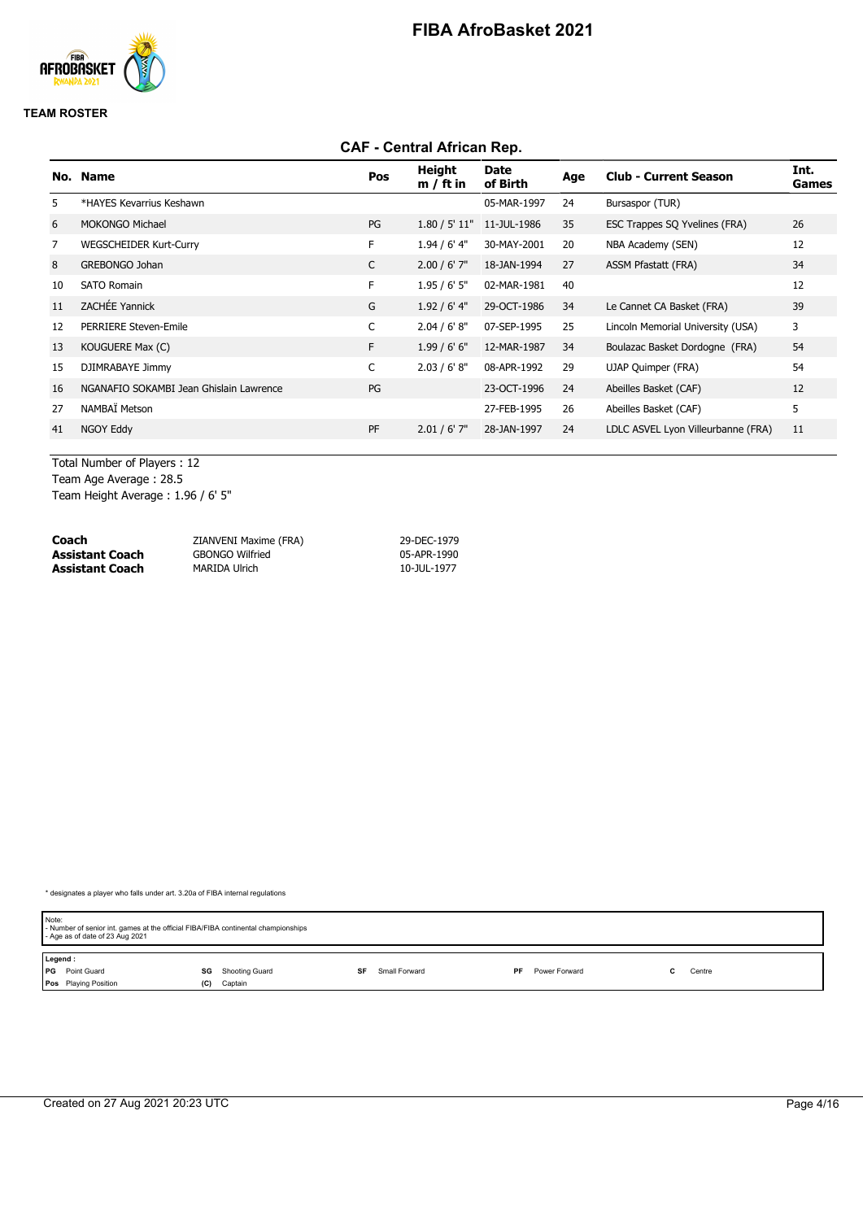

#### **TEAM ROSTER**

### **CAF - Central African Rep.**

| No. | <b>Name</b>                             | Pos | Height<br>$m / ft$ in | Date<br>of Birth          | Age | <b>Club - Current Season</b>       | Int.<br>Games |
|-----|-----------------------------------------|-----|-----------------------|---------------------------|-----|------------------------------------|---------------|
| 5   | *HAYES Kevarrius Keshawn                |     |                       | 05-MAR-1997               | 24  | Bursaspor (TUR)                    |               |
| 6   | <b>MOKONGO Michael</b>                  | PG  |                       | 1.80 / 5' 11" 11-JUL-1986 | 35  | ESC Trappes SQ Yvelines (FRA)      | 26            |
| 7   | <b>WEGSCHEIDER Kurt-Curry</b>           | F.  | 1.94 / 6' 4"          | 30-MAY-2001               | 20  | NBA Academy (SEN)                  | 12            |
| 8   | GREBONGO Johan                          | C   | $2.00 / 6'$ 7"        | 18-JAN-1994               | 27  | <b>ASSM Pfastatt (FRA)</b>         | 34            |
| 10  | <b>SATO Romain</b>                      | F.  | 1.95/6'5''            | 02-MAR-1981               | 40  |                                    | 12            |
| 11  | <b>ZACHÉE Yannick</b>                   | G   | $1.92/6'$ 4"          | 29-OCT-1986               | 34  | Le Cannet CA Basket (FRA)          | 39            |
| 12  | PERRIERE Steven-Emile                   | C   | 2.04 / 6' 8''         | 07-SEP-1995               | 25  | Lincoln Memorial University (USA)  | 3             |
| 13  | KOUGUERE Max (C)                        | F.  | 1.99/6'6''            | 12-MAR-1987               | 34  | Boulazac Basket Dordogne (FRA)     | 54            |
| 15  | DJIMRABAYE Jimmy                        | C   | 2.03 / 6' 8''         | 08-APR-1992               | 29  | UJAP Quimper (FRA)                 | 54            |
| 16  | NGANAFIO SOKAMBI Jean Ghislain Lawrence | PG  |                       | 23-OCT-1996               | 24  | Abeilles Basket (CAF)              | 12            |
| 27  | NAMBAÏ Metson                           |     |                       | 27-FEB-1995               | 26  | Abeilles Basket (CAF)              | 5             |
| 41  | NGOY Eddy                               | PF  | $2.01 / 6'$ 7"        | 28-JAN-1997               | 24  | LDLC ASVEL Lyon Villeurbanne (FRA) | 11            |
|     |                                         |     |                       |                           |     |                                    |               |

Total Number of Players : 12 Team Age Average : 28.5

Team Height Average : 1.96 / 6' 5"

| Coach                  | ZIANVENI Maxime (FRA)  | 29-DEC-1979 |
|------------------------|------------------------|-------------|
| <b>Assistant Coach</b> | <b>GBONGO Wilfried</b> | 05-APR-1990 |
| <b>Assistant Coach</b> | MARIDA Ulrich          | 10-JUL-1977 |

| Note:   | - Number of senior int. games at the official FIBA/FIBA continental championships<br>- Age as of date of 23 Aug 2021 |     |                |    |               |     |               |  |        |  |
|---------|----------------------------------------------------------------------------------------------------------------------|-----|----------------|----|---------------|-----|---------------|--|--------|--|
| Legend: |                                                                                                                      |     |                |    |               |     |               |  |        |  |
|         | <b>PG</b> Point Guard                                                                                                | SG  | Shooting Guard | SF | Small Forward | PF. | Power Forward |  | Centre |  |
|         | Pos Playing Position                                                                                                 | (C) | Captain        |    |               |     |               |  |        |  |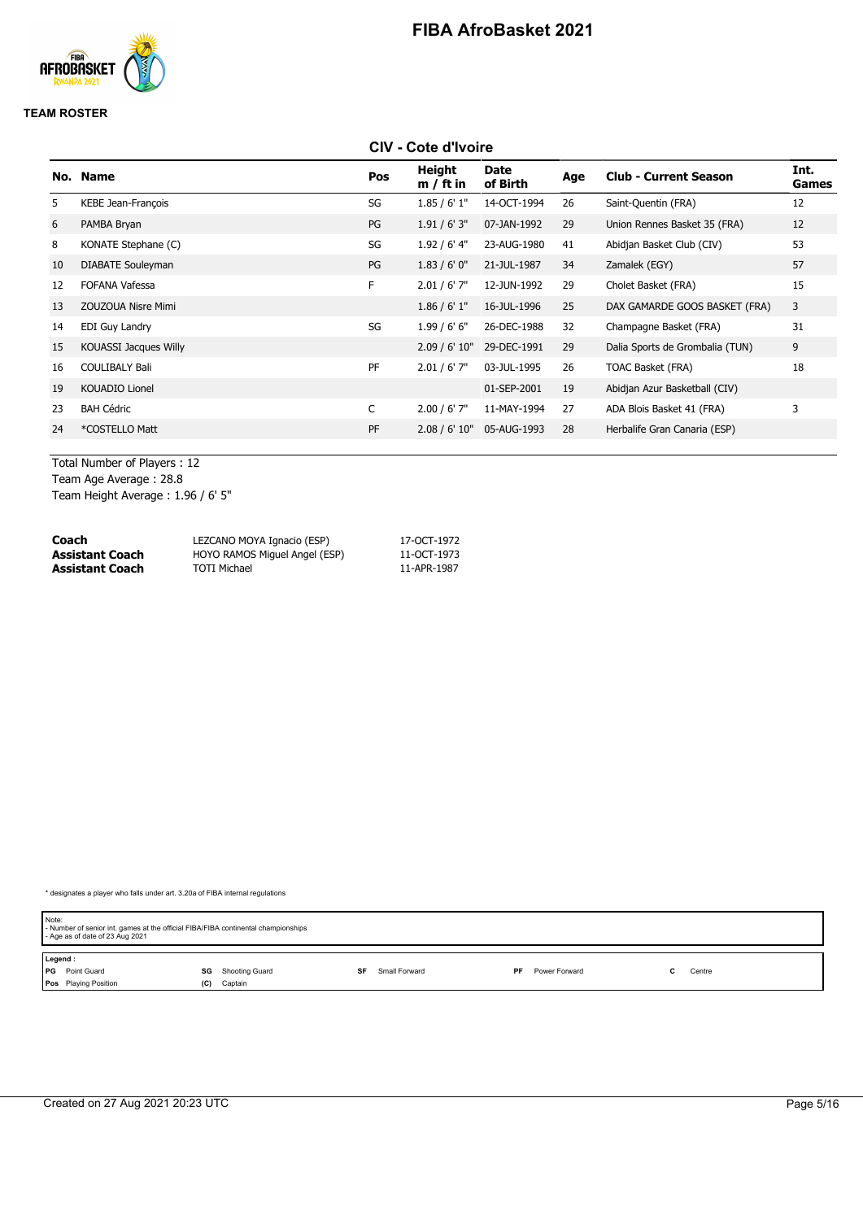

#### **TEAM ROSTER**

### **CIV - Cote d'Ivoire**

| No. | <b>Name</b>               | Pos | Height<br>$m / ft$ in | <b>Date</b><br>of Birth | Age | <b>Club - Current Season</b>    | Int.<br>Games |
|-----|---------------------------|-----|-----------------------|-------------------------|-----|---------------------------------|---------------|
| 5.  | <b>KEBE Jean-François</b> | SG  | 1.85/6'1"             | 14-OCT-1994             | 26  | Saint-Quentin (FRA)             | 12            |
| 6   | PAMBA Bryan               | PG  | 1.91/6'3''            | 07-JAN-1992             | 29  | Union Rennes Basket 35 (FRA)    | 12            |
| 8   | KONATE Stephane (C)       | SG  | $1.92/6'$ 4"          | 23-AUG-1980             | 41  | Abidjan Basket Club (CIV)       | 53            |
| 10  | DIABATE Souleyman         | PG  | 1.83/6'0''            | 21-JUL-1987             | 34  | Zamalek (EGY)                   | 57            |
| 12  | <b>FOFANA Vafessa</b>     | F.  | $2.01 / 6'$ 7"        | 12-JUN-1992             | 29  | Cholet Basket (FRA)             | 15            |
| 13  | <b>ZOUZOUA Nisre Mimi</b> |     | 1.86 / 6' 1''         | 16-JUL-1996             | 25  | DAX GAMARDE GOOS BASKET (FRA)   | 3             |
| 14  | EDI Guy Landry            | SG  | 1.99/6'6''            | 26-DEC-1988             | 32  | Champagne Basket (FRA)          | 31            |
| 15  | KOUASSI Jacques Willy     |     | 2.09 / 6' 10"         | 29-DEC-1991             | 29  | Dalia Sports de Grombalia (TUN) | 9             |
| 16  | <b>COULIBALY Bali</b>     | PF  | $2.01 / 6'$ 7"        | 03-JUL-1995             | 26  | TOAC Basket (FRA)               | 18            |
| 19  | KOUADIO Lionel            |     |                       | 01-SEP-2001             | 19  | Abidjan Azur Basketball (CIV)   |               |
| 23  | <b>BAH Cédric</b>         | C   | $2.00 / 6'$ 7"        | 11-MAY-1994             | 27  | ADA Blois Basket 41 (FRA)       | 3             |
| 24  | *COSTELLO Matt            | PF  | 2.08 / 6' 10"         | 05-AUG-1993             | 28  | Herbalife Gran Canaria (ESP)    |               |
|     |                           |     |                       |                         |     |                                 |               |

Total Number of Players : 12 Team Age Average : 28.8

Team Height Average : 1.96 / 6' 5"

| Coach                  | LEZCANO MOYA Ignacio (ESP)    | 17-OCT-1972 |
|------------------------|-------------------------------|-------------|
| <b>Assistant Coach</b> | HOYO RAMOS Miquel Angel (ESP) | 11-OCT-1973 |
| <b>Assistant Coach</b> | <b>TOTI Michael</b>           | 11-APR-1987 |

| Note:   | - Number of senior int. games at the official FIBA/FIBA continental championships<br>- Age as of date of 23 Aug 2021 |     |                |    |               |                     |  |        |
|---------|----------------------------------------------------------------------------------------------------------------------|-----|----------------|----|---------------|---------------------|--|--------|
| Legend: |                                                                                                                      |     |                |    |               |                     |  |        |
|         | <b>PG</b> Point Guard                                                                                                | SG  | Shooting Guard | SF | Small Forward | PF<br>Power Forward |  | Centre |
|         | Pos Playing Position                                                                                                 | (C) | Captain        |    |               |                     |  |        |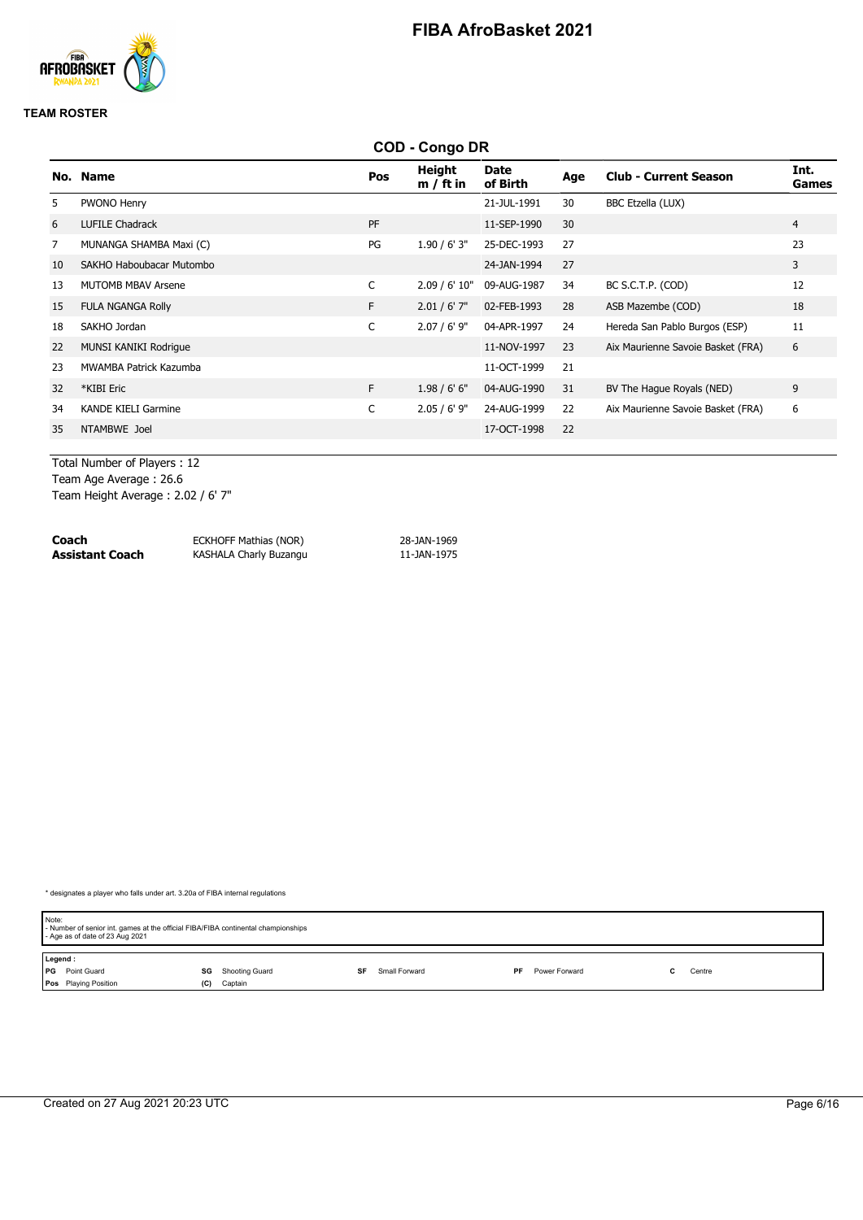

#### **TEAM ROSTER**

|     |                            |     | <b>COD - Congo DR</b>        |                         |     |                                   |                      |
|-----|----------------------------|-----|------------------------------|-------------------------|-----|-----------------------------------|----------------------|
| No. | <b>Name</b>                | Pos | <b>Height</b><br>$m / ft$ in | <b>Date</b><br>of Birth | Age | <b>Club - Current Season</b>      | Int.<br><b>Games</b> |
| 5.  | PWONO Henry                |     |                              | 21-JUL-1991             | 30  | BBC Etzella (LUX)                 |                      |
| 6   | <b>LUFILE Chadrack</b>     | PF  |                              | 11-SEP-1990             | 30  |                                   | $\overline{4}$       |
| 7   | MUNANGA SHAMBA Maxi (C)    | PG  | 1.90 / 6' 3''                | 25-DEC-1993             | 27  |                                   | 23                   |
| 10  | SAKHO Haboubacar Mutombo   |     |                              | 24-JAN-1994             | 27  |                                   | 3                    |
| 13  | <b>MUTOMB MBAV Arsene</b>  | C   | 2.09 / 6' 10"                | 09-AUG-1987             | 34  | BC S.C.T.P. (COD)                 | 12                   |
| 15  | <b>FULA NGANGA Rolly</b>   | F.  | $2.01 / 6'$ 7"               | 02-FEB-1993             | 28  | ASB Mazembe (COD)                 | 18                   |
| 18  | SAKHO Jordan               | C   | $2.07 / 6'$ 9"               | 04-APR-1997             | 24  | Hereda San Pablo Burgos (ESP)     | 11                   |
| 22  | MUNSI KANIKI Rodrigue      |     |                              | 11-NOV-1997             | 23  | Aix Maurienne Savoie Basket (FRA) | 6                    |
| 23  | MWAMBA Patrick Kazumba     |     |                              | 11-OCT-1999             | 21  |                                   |                      |
| 32  | *KIBI Eric                 | F.  | 1.98/6'6''                   | 04-AUG-1990             | 31  | BV The Hague Royals (NED)         | 9                    |
| 34  | <b>KANDE KIELI Garmine</b> | C   | $2.05 / 6'$ 9"               | 24-AUG-1999             | 22  | Aix Maurienne Savoie Basket (FRA) | 6                    |
| 35  | NTAMBWE Joel               |     |                              | 17-OCT-1998             | 22  |                                   |                      |
|     |                            |     |                              |                         |     |                                   |                      |

Total Number of Players : 12 Team Age Average : 26.6 Team Height Average : 2.02 / 6' 7"

| Coach           | <b>ECKHOFF Mathias (NOR)</b> | 28-JAN-1969 |
|-----------------|------------------------------|-------------|
| Assistant Coach | KASHALA Charly Buzangu       | 11-JAN-1975 |

| Note:   | - Number of senior int. games at the official FIBA/FIBA continental championships<br>- Age as of date of 23 Aug 2021 |     |                |    |               |    |               |  |        |  |
|---------|----------------------------------------------------------------------------------------------------------------------|-----|----------------|----|---------------|----|---------------|--|--------|--|
| Legend: |                                                                                                                      |     |                |    |               |    |               |  |        |  |
|         | <b>PG</b> Point Guard                                                                                                | SG  | Shooting Guard | SF | Small Forward | PF | Power Forward |  | Centre |  |
|         | Pos Playing Position                                                                                                 | (C) | Captain        |    |               |    |               |  |        |  |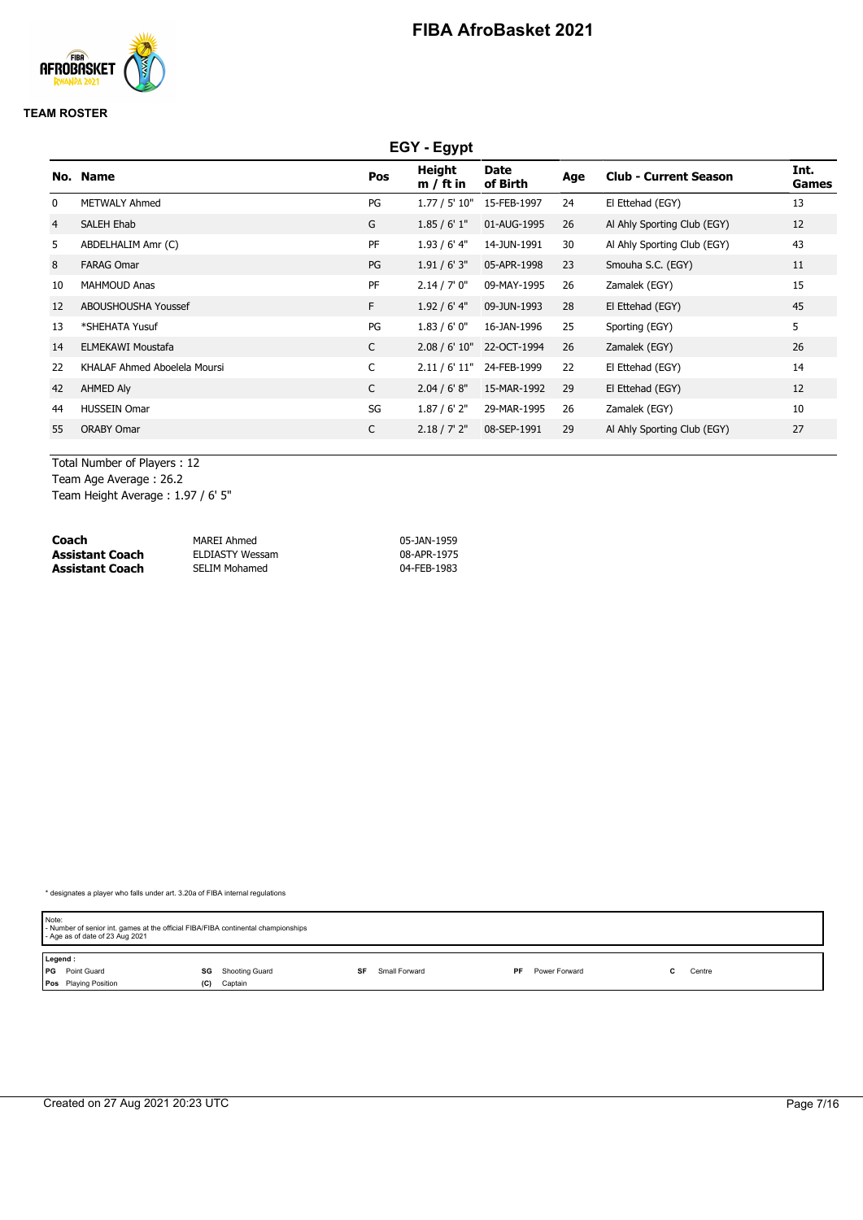

#### **TEAM ROSTER**

|                | EGY - Egypt                  |              |                       |                  |     |                              |               |  |  |  |
|----------------|------------------------------|--------------|-----------------------|------------------|-----|------------------------------|---------------|--|--|--|
|                | No. Name                     | Pos          | Height<br>$m / ft$ in | Date<br>of Birth | Age | <b>Club - Current Season</b> | Int.<br>Games |  |  |  |
| 0              | <b>METWALY Ahmed</b>         | PG           | 1.77 / 5' 10"         | 15-FEB-1997      | 24  | El Ettehad (EGY)             | 13            |  |  |  |
| $\overline{4}$ | SALEH Ehab                   | G            | 1.85/6'1"             | 01-AUG-1995      | 26  | Al Ahly Sporting Club (EGY)  | 12            |  |  |  |
| 5              | ABDELHALIM Amr (C)           | PF           | $1.93/6'$ 4"          | 14-JUN-1991      | 30  | Al Ahly Sporting Club (EGY)  | 43            |  |  |  |
| 8              | <b>FARAG Omar</b>            | PG           | 1.91 / 6' 3''         | 05-APR-1998      | 23  | Smouha S.C. (EGY)            | 11            |  |  |  |
| 10             | <b>MAHMOUD Anas</b>          | PF           | 2.14 / 7' 0''         | 09-MAY-1995      | 26  | Zamalek (EGY)                | 15            |  |  |  |
| 12             | ABOUSHOUSHA Youssef          | F.           | 1.92 / 6' 4''         | 09-JUN-1993      | 28  | El Ettehad (EGY)             | 45            |  |  |  |
| 13             | *SHEHATA Yusuf               | PG           | 1.83/6'0''            | 16-JAN-1996      | 25  | Sporting (EGY)               | 5             |  |  |  |
| 14             | <b>ELMEKAWI Moustafa</b>     | $\mathsf{C}$ | 2.08 / 6' 10"         | 22-OCT-1994      | 26  | Zamalek (EGY)                | 26            |  |  |  |
| 22             | KHALAF Ahmed Aboelela Moursi | C            | 2.11 / 6' 11"         | 24-FEB-1999      | 22  | El Ettehad (EGY)             | 14            |  |  |  |
| 42             | AHMED Aly                    | C            | 2.04 / 6' 8''         | 15-MAR-1992      | 29  | El Ettehad (EGY)             | 12            |  |  |  |
| 44             | <b>HUSSEIN Omar</b>          | SG           | 1.87 / 6' 2''         | 29-MAR-1995      | 26  | Zamalek (EGY)                | 10            |  |  |  |
| 55             | <b>ORABY Omar</b>            | C            | 2.18 / 7' 2''         | 08-SEP-1991      | 29  | Al Ahly Sporting Club (EGY)  | 27            |  |  |  |

Total Number of Players : 12 Team Age Average : 26.2 Team Height Average : 1.97 / 6' 5"

| Coach           | MAREI Ahmed            | 05-JAN-1959 |
|-----------------|------------------------|-------------|
| Assistant Coach | <b>ELDIASTY Wessam</b> | 08-APR-1975 |
| Assistant Coach | <b>SELIM Mohamed</b>   | 04-FEB-1983 |

| Note:   | - Number of senior int. games at the official FIBA/FIBA continental championships<br>- Age as of date of 23 Aug 2021 |     |                |    |               |    |               |  |        |  |
|---------|----------------------------------------------------------------------------------------------------------------------|-----|----------------|----|---------------|----|---------------|--|--------|--|
| Legend: |                                                                                                                      |     |                |    |               |    |               |  |        |  |
|         | <b>PG</b> Point Guard                                                                                                | SG  | Shooting Guard | SF | Small Forward | PF | Power Forward |  | Centre |  |
|         | <b>Pos</b> Playing Position                                                                                          | (C) | Captain        |    |               |    |               |  |        |  |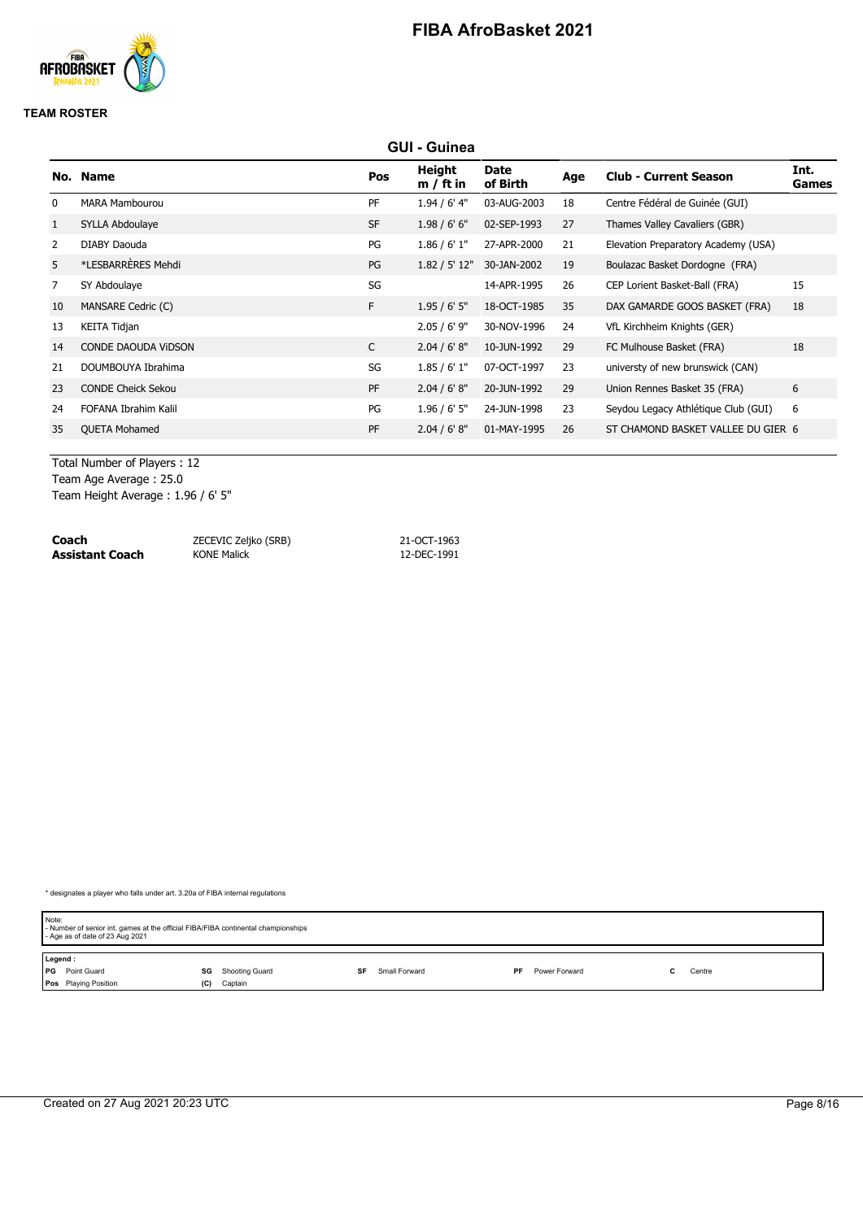

#### **TEAM ROSTER**

|                |                            |           | <b>GUI - Guinea</b>   |                         |     |                                     |               |
|----------------|----------------------------|-----------|-----------------------|-------------------------|-----|-------------------------------------|---------------|
|                | No. Name                   | Pos       | Height<br>$m / ft$ in | <b>Date</b><br>of Birth | Age | <b>Club - Current Season</b>        | Int.<br>Games |
| $\mathbf{0}$   | <b>MARA Mambourou</b>      | <b>PF</b> | 1.94 / 6' 4"          | 03-AUG-2003             | 18  | Centre Fédéral de Guinée (GUI)      |               |
| 1              | SYLLA Abdoulaye            | <b>SF</b> | 1.98 / 6' 6''         | 02-SEP-1993             | 27  | Thames Valley Cavaliers (GBR)       |               |
| $\overline{2}$ | DIABY Daouda               | PG        | 1.86 / 6' 1''         | 27-APR-2000             | 21  | Elevation Preparatory Academy (USA) |               |
| 5              | *LESBARRERES Mehdi         | PG        | 1.82 / 5' 12"         | 30-JAN-2002             | 19  | Boulazac Basket Dordogne (FRA)      |               |
| $\overline{7}$ | SY Abdoulaye               | SG        |                       | 14-APR-1995             | 26  | CEP Lorient Basket-Ball (FRA)       | 15            |
| 10             | MANSARE Cedric (C)         | F.        | 1.95/6'5''            | 18-OCT-1985             | 35  | DAX GAMARDE GOOS BASKET (FRA)       | 18            |
| 13             | <b>KEITA Tidjan</b>        |           | $2.05 / 6'$ 9"        | 30-NOV-1996             | 24  | VfL Kirchheim Knights (GER)         |               |
| 14             | <b>CONDE DAOUDA VIDSON</b> | C         | 2.04 / 6' 8''         | 10-JUN-1992             | 29  | FC Mulhouse Basket (FRA)            | 18            |
| 21             | DOUMBOUYA Ibrahima         | SG        | 1.85/6'1"             | 07-OCT-1997             | 23  | universty of new brunswick (CAN)    |               |
| 23             | <b>CONDE Cheick Sekou</b>  | <b>PF</b> | 2.04 / 6' 8''         | 20-JUN-1992             | 29  | Union Rennes Basket 35 (FRA)        | 6             |
| 24             | FOFANA Ibrahim Kalil       | PG        | $1.96 / 6'$ 5"        | 24-JUN-1998             | 23  | Seydou Legacy Athlétique Club (GUI) | 6             |
| 35             | <b>QUETA Mohamed</b>       | PF        | 2.04 / 6' 8''         | 01-MAY-1995             | 26  | ST CHAMOND BASKET VALLEE DU GIER 6  |               |
|                |                            |           |                       |                         |     |                                     |               |

Total Number of Players : 12 Team Age Average : 25.0

Team Height Average : 1.96 / 6' 5"

| Coach           | ZECEVIC Zeljko (SRB) | 21-OCT-1963 |
|-----------------|----------------------|-------------|
| Assistant Coach | <b>KONE Malick</b>   | 12-DEC-1991 |

| Note: | - Number of senior int. games at the official FIBA/FIBA continental championships<br>- Age as of date of 23 Aug 2021 |     |                |    |               |     |               |  |        |  |
|-------|----------------------------------------------------------------------------------------------------------------------|-----|----------------|----|---------------|-----|---------------|--|--------|--|
|       | Legend:                                                                                                              |     |                |    |               |     |               |  |        |  |
|       | <b>PG</b> Point Guard                                                                                                | SG  | Shooting Guard | SF | Small Forward | PF. | Power Forward |  | Centre |  |
|       | Pos Playing Position                                                                                                 | (C) | Captain        |    |               |     |               |  |        |  |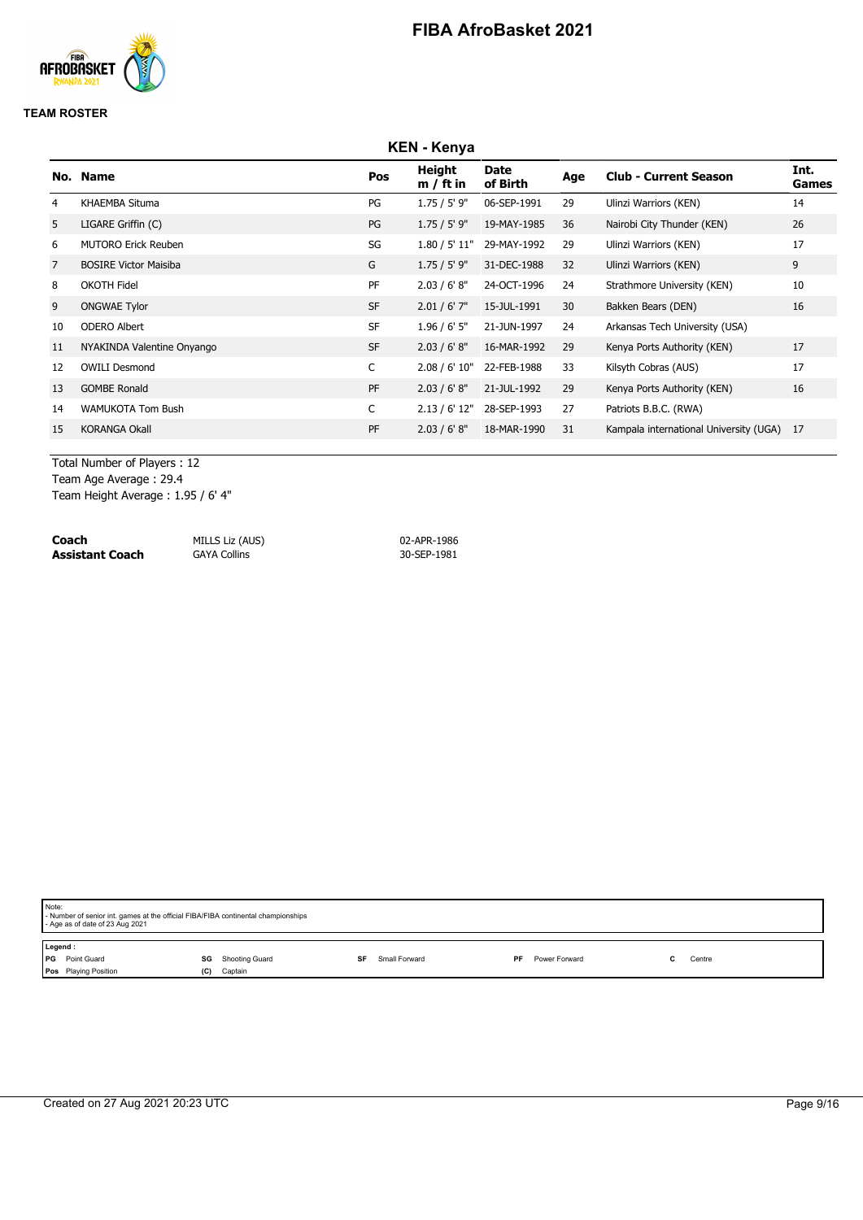

#### **TEAM ROSTER**

|                | <b>KEN - Kenya</b>           |           |                       |                  |     |                                           |               |  |  |  |  |
|----------------|------------------------------|-----------|-----------------------|------------------|-----|-------------------------------------------|---------------|--|--|--|--|
|                | No. Name                     | Pos       | Height<br>$m / ft$ in | Date<br>of Birth | Age | <b>Club - Current Season</b>              | Int.<br>Games |  |  |  |  |
| 4              | KHAEMBA Situma               | PG        | 1.75 / 5' 9"          | 06-SEP-1991      | 29  | Ulinzi Warriors (KEN)                     | 14            |  |  |  |  |
| 5              | LIGARE Griffin (C)           | PG        | 1.75 / 5' 9"          | 19-MAY-1985      | 36  | Nairobi City Thunder (KEN)                | 26            |  |  |  |  |
| 6              | <b>MUTORO Erick Reuben</b>   | SG        | 1.80 / 5' 11"         | 29-MAY-1992      | 29  | Ulinzi Warriors (KEN)                     | 17            |  |  |  |  |
| $\overline{7}$ | <b>BOSIRE Victor Maisiba</b> | G         | $1.75 / 5'$ 9"        | 31-DEC-1988      | 32  | Ulinzi Warriors (KEN)                     | 9             |  |  |  |  |
| 8              | <b>OKOTH Fidel</b>           | PF        | 2.03 / 6' 8''         | 24-OCT-1996      | 24  | Strathmore University (KEN)               | 10            |  |  |  |  |
| 9              | <b>ONGWAE Tylor</b>          | <b>SF</b> | $2.01 / 6'$ 7"        | 15-JUL-1991      | 30  | Bakken Bears (DEN)                        | 16            |  |  |  |  |
| 10             | <b>ODERO Albert</b>          | <b>SF</b> | $1.96 / 6'$ 5"        | 21-JUN-1997      | 24  | Arkansas Tech University (USA)            |               |  |  |  |  |
| 11             | NYAKINDA Valentine Onyango   | <b>SF</b> | 2.03 / 6' 8''         | 16-MAR-1992      | 29  | Kenya Ports Authority (KEN)               | 17            |  |  |  |  |
| 12             | <b>OWILI Desmond</b>         | C         | 2.08 / 6' 10"         | 22-FEB-1988      | 33  | Kilsyth Cobras (AUS)                      | 17            |  |  |  |  |
| 13             | <b>GOMBE Ronald</b>          | PF        | 2.03 / 6' 8''         | 21-JUL-1992      | 29  | Kenya Ports Authority (KEN)               | 16            |  |  |  |  |
| 14             | <b>WAMUKOTA Tom Bush</b>     | C         | 2.13 / 6' 12"         | 28-SEP-1993      | 27  | Patriots B.B.C. (RWA)                     |               |  |  |  |  |
| 15             | <b>KORANGA Okall</b>         | PF        | 2.03 / 6' 8''         | 18-MAR-1990      | 31  | Kampala international University (UGA) 17 |               |  |  |  |  |

Total Number of Players : 12 Team Age Average : 29.4

Team Height Average : 1.95 / 6' 4"

**Coach** MILLS Liz (AUS) 02-APR-1986 **Assistant Coach** 

| Note: | - Number of senior int. games at the official FIBA/FIBA continental championships<br>- Age as of date of 23 Aug 2021 |     |                |  |               |    |               |  |        |
|-------|----------------------------------------------------------------------------------------------------------------------|-----|----------------|--|---------------|----|---------------|--|--------|
|       | Legend:                                                                                                              |     |                |  |               |    |               |  |        |
|       | PG Point Guard                                                                                                       | SG  | Shooting Guard |  | Small Forward | PF | Power Forward |  | Centre |
|       | Pos Playing Position                                                                                                 | (C) | Captain        |  |               |    |               |  |        |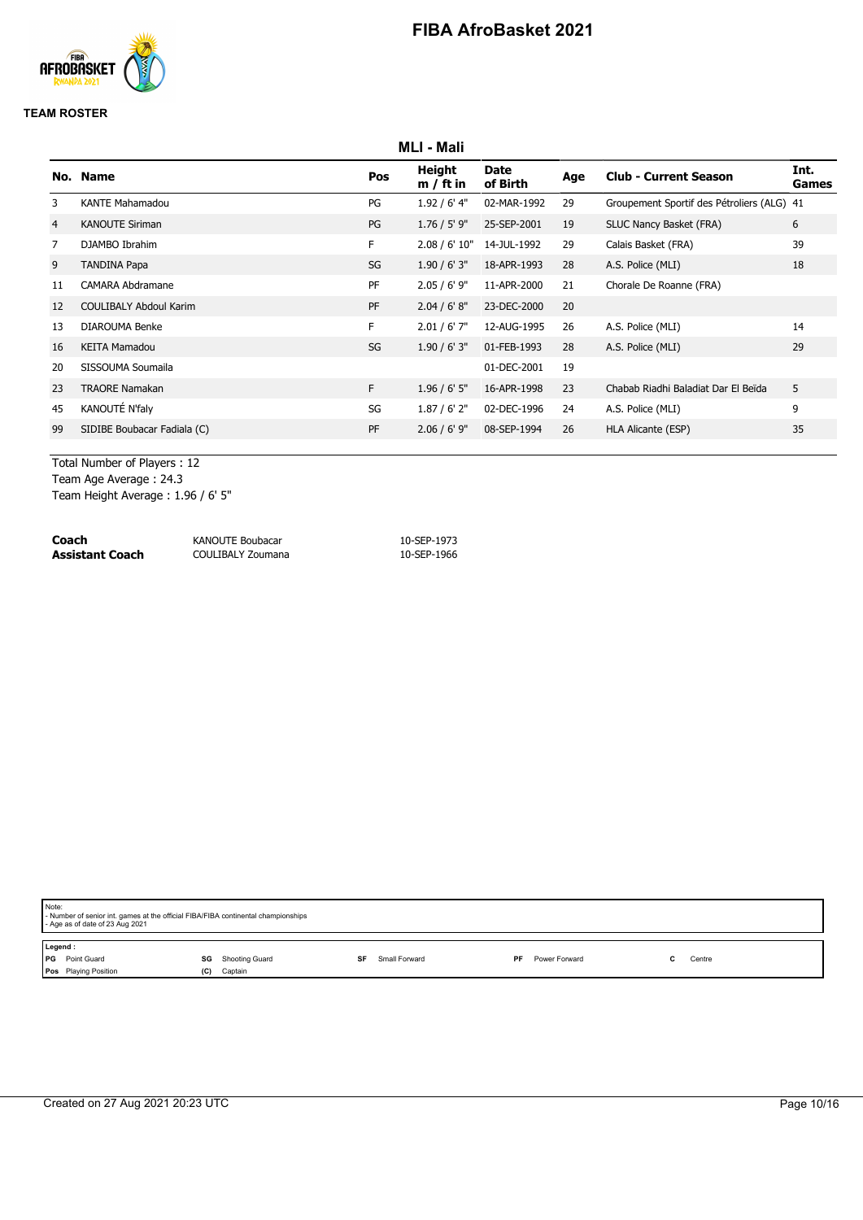

### **TEAM ROSTER**

|    | <b>MLI - Mali</b>             |           |                       |                         |     |                                            |                      |  |
|----|-------------------------------|-----------|-----------------------|-------------------------|-----|--------------------------------------------|----------------------|--|
|    | No. Name                      | Pos       | Height<br>$m / ft$ in | <b>Date</b><br>of Birth | Age | <b>Club - Current Season</b>               | Int.<br><b>Games</b> |  |
| 3  | <b>KANTE Mahamadou</b>        | PG        | $1.92/6'$ 4"          | 02-MAR-1992             | 29  | Groupement Sportif des Pétroliers (ALG) 41 |                      |  |
| 4  | <b>KANOUTE Siriman</b>        | PG        | $1.76 / 5'$ 9"        | 25-SEP-2001             | 19  | SLUC Nancy Basket (FRA)                    | 6                    |  |
| 7  | DJAMBO Ibrahim                | F.        | 2.08 / 6' 10"         | 14-JUL-1992             | 29  | Calais Basket (FRA)                        | 39                   |  |
| 9  | <b>TANDINA Papa</b>           | SG        | 1.90/6'3''            | 18-APR-1993             | 28  | A.S. Police (MLI)                          | 18                   |  |
| 11 | <b>CAMARA Abdramane</b>       | PF        | $2.05 / 6'$ 9"        | 11-APR-2000             | 21  | Chorale De Roanne (FRA)                    |                      |  |
| 12 | <b>COULIBALY Abdoul Karim</b> | PF        | 2.04 / 6' 8''         | 23-DEC-2000             | 20  |                                            |                      |  |
| 13 | DIAROUMA Benke                | F.        | $2.01 / 6'$ 7"        | 12-AUG-1995             | 26  | A.S. Police (MLI)                          | 14                   |  |
| 16 | <b>KEITA Mamadou</b>          | SG        | 1.90/6'3''            | 01-FEB-1993             | 28  | A.S. Police (MLI)                          | 29                   |  |
| 20 | SISSOUMA Soumaila             |           |                       | 01-DEC-2001             | 19  |                                            |                      |  |
| 23 | <b>TRAORE Namakan</b>         | F.        | $1.96 / 6'$ 5"        | 16-APR-1998             | 23  | Chabab Riadhi Baladiat Dar El Beïda        | 5                    |  |
| 45 | KANOUTÉ N'faly                | SG        | $1.87/6'$ 2"          | 02-DEC-1996             | 24  | A.S. Police (MLI)                          | 9                    |  |
| 99 | SIDIBE Boubacar Fadiala (C)   | <b>PF</b> | $2.06 / 6'$ 9"        | 08-SEP-1994             | 26  | HLA Alicante (ESP)                         | 35                   |  |

Total Number of Players : 12 Team Age Average : 24.3

Team Height Average : 1.96 / 6' 5"

| Coach           | KANOUTE Boubacar  | 10-SEP-1973 |
|-----------------|-------------------|-------------|
| Assistant Coach | COULIBALY Zoumana | 10-SEP-1966 |

| Note: | - Number of senior int. games at the official FIBA/FIBA continental championships<br>- Age as of date of 23 Aug 2021        |     |         |  |  |  |  |  |  |  |
|-------|-----------------------------------------------------------------------------------------------------------------------------|-----|---------|--|--|--|--|--|--|--|
|       | Legend:<br><b>PG</b> Point Guard<br><b>SG</b> Shooting Guard<br>Small Forward<br>Power Forward<br>Centre<br>SF<br><b>PF</b> |     |         |  |  |  |  |  |  |  |
|       | <b>Pos</b> Playing Position                                                                                                 | (C) | Captain |  |  |  |  |  |  |  |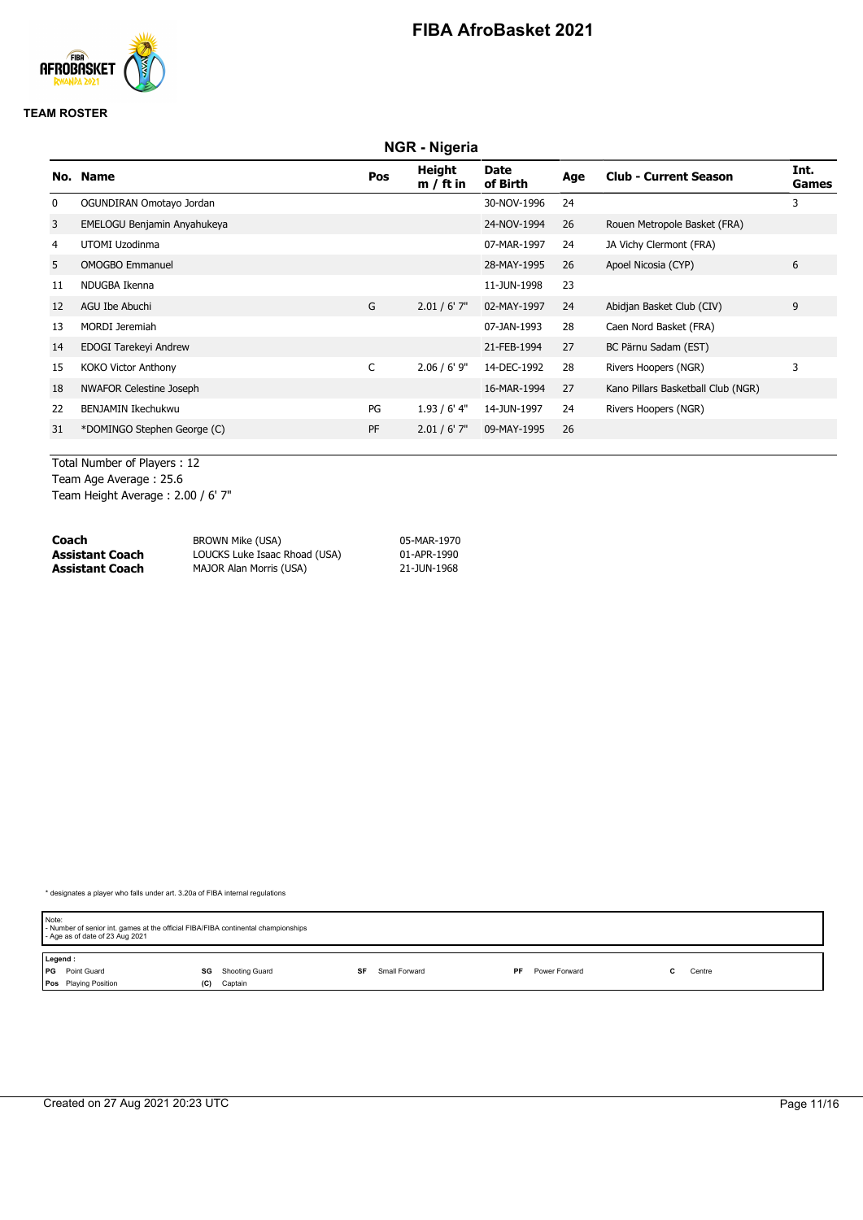

#### **TEAM ROSTER**

|     | <b>NGR</b> - Nigeria           |           |                       |                  |     |                                    |               |  |
|-----|--------------------------------|-----------|-----------------------|------------------|-----|------------------------------------|---------------|--|
| No. | <b>Name</b>                    | Pos       | Height<br>$m / ft$ in | Date<br>of Birth | Age | <b>Club - Current Season</b>       | Int.<br>Games |  |
| 0   | OGUNDIRAN Omotayo Jordan       |           |                       | 30-NOV-1996      | 24  |                                    | 3             |  |
| 3   | EMELOGU Benjamin Anyahukeya    |           |                       | 24-NOV-1994      | 26  | Rouen Metropole Basket (FRA)       |               |  |
| 4   | UTOMI Uzodinma                 |           |                       | 07-MAR-1997      | 24  | JA Vichy Clermont (FRA)            |               |  |
| 5   | <b>OMOGBO Emmanuel</b>         |           |                       | 28-MAY-1995      | 26  | Apoel Nicosia (CYP)                | 6             |  |
| 11  | NDUGBA Ikenna                  |           |                       | 11-JUN-1998      | 23  |                                    |               |  |
| 12  | AGU Ibe Abuchi                 | G         | $2.01 / 6'$ 7"        | 02-MAY-1997      | 24  | Abidjan Basket Club (CIV)          | 9             |  |
| 13  | <b>MORDI Jeremiah</b>          |           |                       | 07-JAN-1993      | 28  | Caen Nord Basket (FRA)             |               |  |
| 14  | EDOGI Tarekeyi Andrew          |           |                       | 21-FEB-1994      | 27  | BC Pärnu Sadam (EST)               |               |  |
| 15  | <b>KOKO Victor Anthony</b>     | C         | $2.06 / 6'$ 9"        | 14-DEC-1992      | 28  | Rivers Hoopers (NGR)               | 3             |  |
| 18  | <b>NWAFOR Celestine Joseph</b> |           |                       | 16-MAR-1994      | 27  | Kano Pillars Basketball Club (NGR) |               |  |
| 22  | <b>BENJAMIN Ikechukwu</b>      | PG        | $1.93/6'$ 4"          | 14-JUN-1997      | 24  | Rivers Hoopers (NGR)               |               |  |
| 31  | *DOMINGO Stephen George (C)    | <b>PF</b> | $2.01 / 6'$ 7"        | 09-MAY-1995      | 26  |                                    |               |  |

Total Number of Players : 12 Team Age Average : 25.6 Team Height Average : 2.00 / 6' 7"

| Coach           | BROWN Mike (USA)              | 05-MAR-1970 |
|-----------------|-------------------------------|-------------|
| Assistant Coach | LOUCKS Luke Isaac Rhoad (USA) | 01-APR-1990 |
| Assistant Coach | MAJOR Alan Morris (USA)       | 21-JUN-1968 |

| Note: | - Number of senior int. games at the official FIBA/FIBA continental championships<br>- Age as of date of 23 Aug 2021 |     |                |    |               |     |               |  |  |        |  |
|-------|----------------------------------------------------------------------------------------------------------------------|-----|----------------|----|---------------|-----|---------------|--|--|--------|--|
|       | Legend:                                                                                                              |     |                |    |               |     |               |  |  |        |  |
|       | PG Point Guard                                                                                                       | SG  | Shooting Guard | SF | Small Forward | PF. | Power Forward |  |  | Centre |  |
|       | Pos Playing Position                                                                                                 | (C) | Captain        |    |               |     |               |  |  |        |  |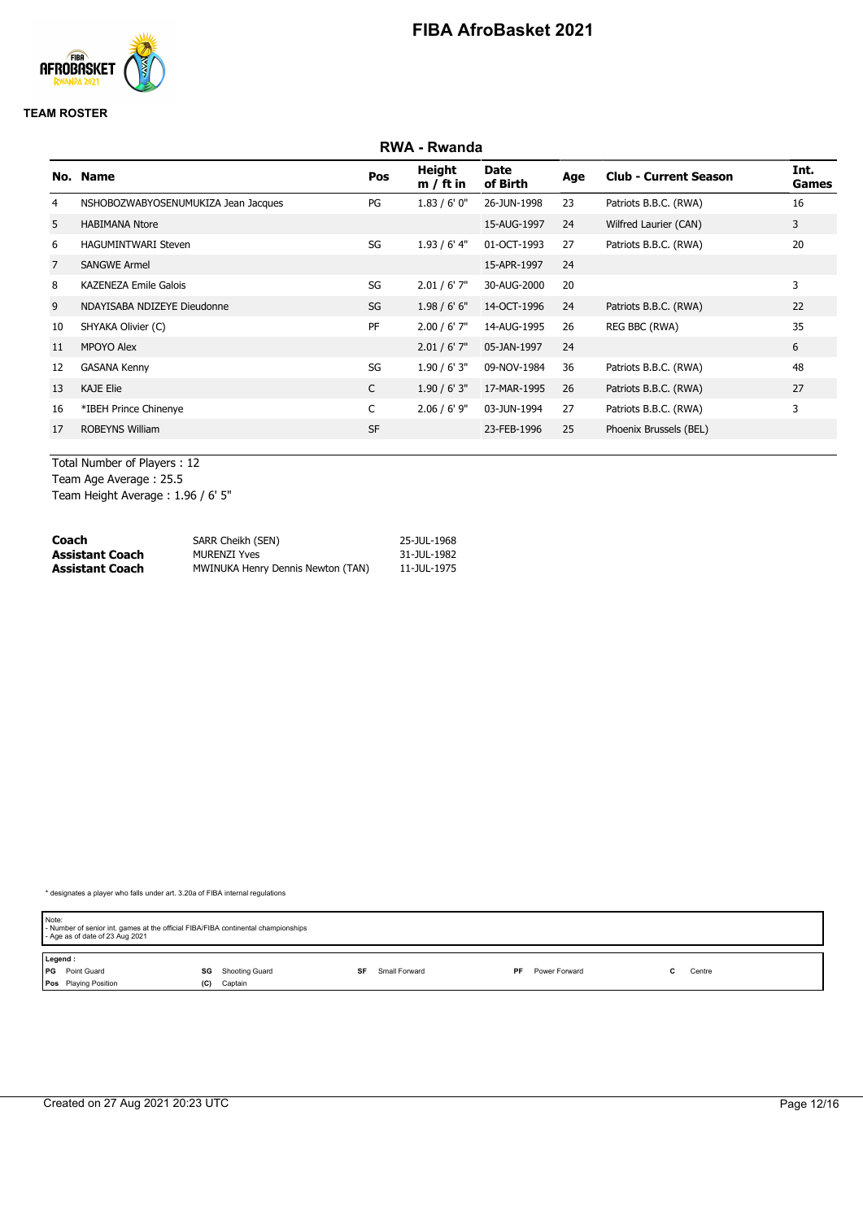

#### **TEAM ROSTER**

|                |                                     |              | <b>RWA - Rwanda</b>   |                  |     |                              |               |
|----------------|-------------------------------------|--------------|-----------------------|------------------|-----|------------------------------|---------------|
|                | No. Name                            | Pos          | Height<br>$m / ft$ in | Date<br>of Birth | Age | <b>Club - Current Season</b> | Int.<br>Games |
| 4              | NSHOBOZWABYOSENUMUKIZA Jean Jacques | PG           | 1.83/6'0''            | 26-JUN-1998      | 23  | Patriots B.B.C. (RWA)        | 16            |
| 5              | <b>HABIMANA Ntore</b>               |              |                       | 15-AUG-1997      | 24  | Wilfred Laurier (CAN)        | 3             |
| 6              | <b>HAGUMINTWARI Steven</b>          | SG           | $1.93/6'$ 4"          | 01-OCT-1993      | 27  | Patriots B.B.C. (RWA)        | 20            |
| $\overline{7}$ | <b>SANGWE Armel</b>                 |              |                       | 15-APR-1997      | 24  |                              |               |
| 8              | <b>KAZENEZA Emile Galois</b>        | SG           | $2.01 / 6'$ 7"        | 30-AUG-2000      | 20  |                              | 3             |
| 9              | NDAYISABA NDIZEYE Dieudonne         | SG           | 1.98/6'6''            | 14-OCT-1996      | 24  | Patriots B.B.C. (RWA)        | 22            |
| 10             | SHYAKA Olivier (C)                  | PF           | $2.00 / 6'$ 7"        | 14-AUG-1995      | 26  | REG BBC (RWA)                | 35            |
| 11             | MPOYO Alex                          |              | $2.01 / 6'$ 7"        | 05-JAN-1997      | 24  |                              | 6             |
| 12             | <b>GASANA Kenny</b>                 | SG           | $1.90 / 6'$ 3"        | 09-NOV-1984      | 36  | Patriots B.B.C. (RWA)        | 48            |
| 13             | <b>KAJE Elie</b>                    | $\mathsf{C}$ | 1.90/6'3''            | 17-MAR-1995      | 26  | Patriots B.B.C. (RWA)        | 27            |
| 16             | *IBEH Prince Chinenye               | C            | $2.06 / 6'$ 9"        | 03-JUN-1994      | 27  | Patriots B.B.C. (RWA)        | 3             |
| 17             | <b>ROBEYNS William</b>              | <b>SF</b>    |                       | 23-FEB-1996      | 25  | Phoenix Brussels (BEL)       |               |

Total Number of Players : 12 Team Age Average : 25.5 Team Height Average : 1.96 / 6' 5"

| Coach           | SARR Cheikh (SEN)                 | 25-JUL-1968 |
|-----------------|-----------------------------------|-------------|
| Assistant Coach | <b>MURENZI Yves</b>               | 31-JUL-1982 |
| Assistant Coach | MWINUKA Henry Dennis Newton (TAN) | 11-JUL-1975 |

| Note:   | - Number of senior int. games at the official FIBA/FIBA continental championships<br>- Age as of date of 23 Aug 2021 |     |                |    |               |    |               |  |        |  |
|---------|----------------------------------------------------------------------------------------------------------------------|-----|----------------|----|---------------|----|---------------|--|--------|--|
| Legend: |                                                                                                                      |     |                |    |               |    |               |  |        |  |
|         | <b>PG</b> Point Guard                                                                                                | SG  | Shooting Guard | SF | Small Forward | PF | Power Forward |  | Centre |  |
|         | Pos Playing Position                                                                                                 | (C) | Captain        |    |               |    |               |  |        |  |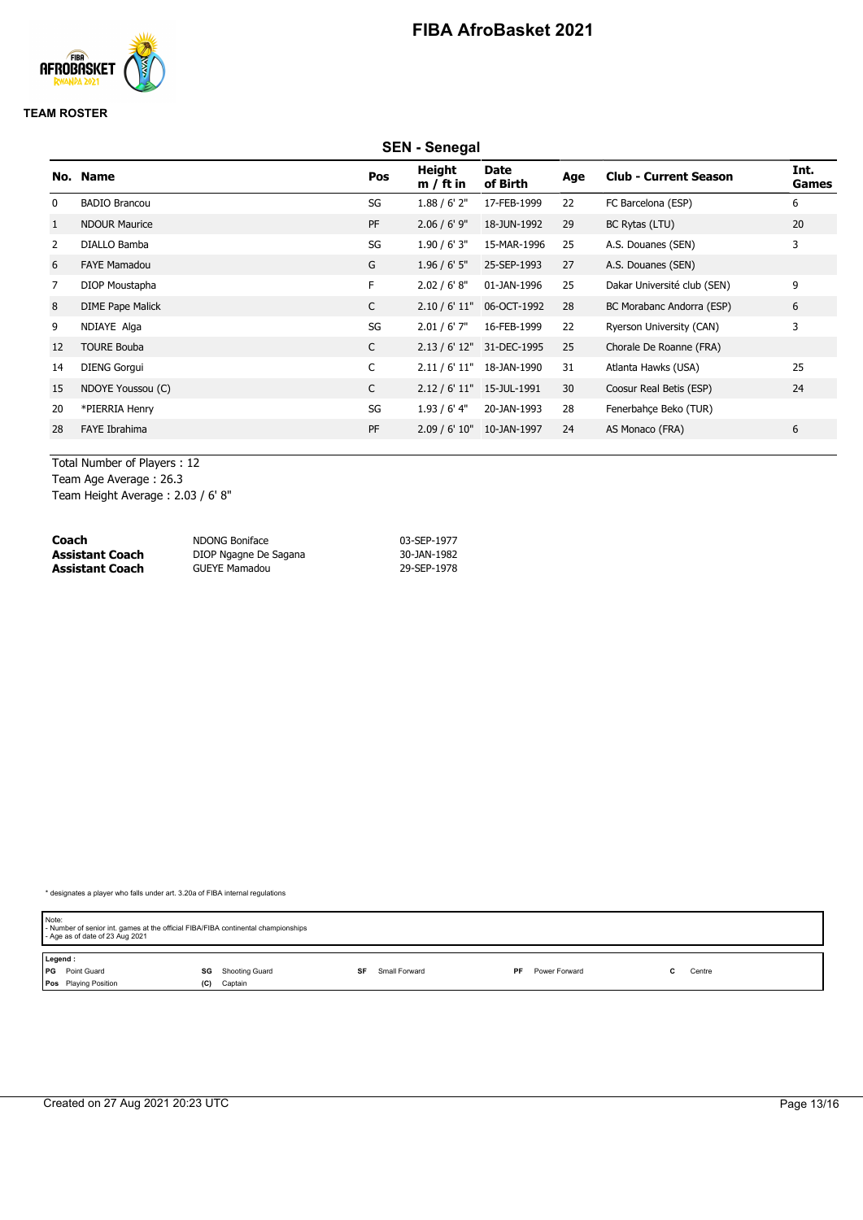

#### **TEAM ROSTER**

|                | <b>SEN - Senegal</b>    |              |                              |                           |     |                              |               |  |
|----------------|-------------------------|--------------|------------------------------|---------------------------|-----|------------------------------|---------------|--|
|                | No. Name                | Pos          | <b>Height</b><br>$m / ft$ in | Date<br>of Birth          | Age | <b>Club - Current Season</b> | Int.<br>Games |  |
| 0              | <b>BADIO Brancou</b>    | SG           | 1.88 / 6' 2''                | 17-FEB-1999               | 22  | FC Barcelona (ESP)           | 6             |  |
| 1              | <b>NDOUR Maurice</b>    | PF           | $2.06 / 6'$ 9"               | 18-JUN-1992               | 29  | BC Rytas (LTU)               | 20            |  |
| 2              | DIALLO Bamba            | SG           | $1.90 / 6'$ 3"               | 15-MAR-1996               | 25  | A.S. Douanes (SEN)           | 3             |  |
| 6              | <b>FAYE Mamadou</b>     | G            | $1.96 / 6'$ 5"               | 25-SEP-1993               | 27  | A.S. Douanes (SEN)           |               |  |
| $\overline{7}$ | DIOP Moustapha          | F            | 2.02 / 6' 8''                | 01-JAN-1996               | 25  | Dakar Université club (SEN)  | 9             |  |
| 8              | <b>DIME Pape Malick</b> | $\mathsf{C}$ | 2.10 / 6' 11"                | 06-OCT-1992               | 28  | BC Morabanc Andorra (ESP)    | 6             |  |
| 9              | NDIAYE Alga             | SG           | $2.01 / 6'$ 7"               | 16-FEB-1999               | 22  | Ryerson University (CAN)     | 3             |  |
| 12             | <b>TOURE Bouba</b>      | $\mathsf{C}$ |                              | 2.13 / 6' 12" 31-DEC-1995 | 25  | Chorale De Roanne (FRA)      |               |  |
| 14             | <b>DIENG Gorgui</b>     | C            | 2.11 / 6' 11"                | 18-JAN-1990               | 31  | Atlanta Hawks (USA)          | 25            |  |
| 15             | NDOYE Youssou (C)       | C            |                              | 2.12 / 6' 11" 15-JUL-1991 | 30  | Coosur Real Betis (ESP)      | 24            |  |
| 20             | *PIERRIA Henry          | SG           | $1.93/6'$ 4"                 | 20-JAN-1993               | 28  | Fenerbahce Beko (TUR)        |               |  |
| 28             | FAYE Ibrahima           | PF           |                              | 2.09 / 6' 10" 10-JAN-1997 | 24  | AS Monaco (FRA)              | 6             |  |

Total Number of Players : 12

Team Age Average : 26.3

Team Height Average : 2.03 / 6' 8"

| Coach           | NDONG Boniface        | 03-SEP-1977 |
|-----------------|-----------------------|-------------|
| Assistant Coach | DIOP Ngagne De Sagana | 30-JAN-1982 |
| Assistant Coach | <b>GUEYE Mamadou</b>  | 29-SEP-1978 |

| Note:<br>- Number of senior int. games at the official FIBA/FIBA continental championships<br>- Age as of date of 23 Aug 2021 |                      |                     |                            |        |  |  |  |  |  |
|-------------------------------------------------------------------------------------------------------------------------------|----------------------|---------------------|----------------------------|--------|--|--|--|--|--|
| Legend:                                                                                                                       |                      |                     |                            |        |  |  |  |  |  |
| PG Point Guard                                                                                                                | Shooting Guard<br>SG | Small Forward<br>SF | Power Forward<br><b>PF</b> | Centre |  |  |  |  |  |
| <b>Pos</b> Playing Position                                                                                                   | Captain<br>(C)       |                     |                            |        |  |  |  |  |  |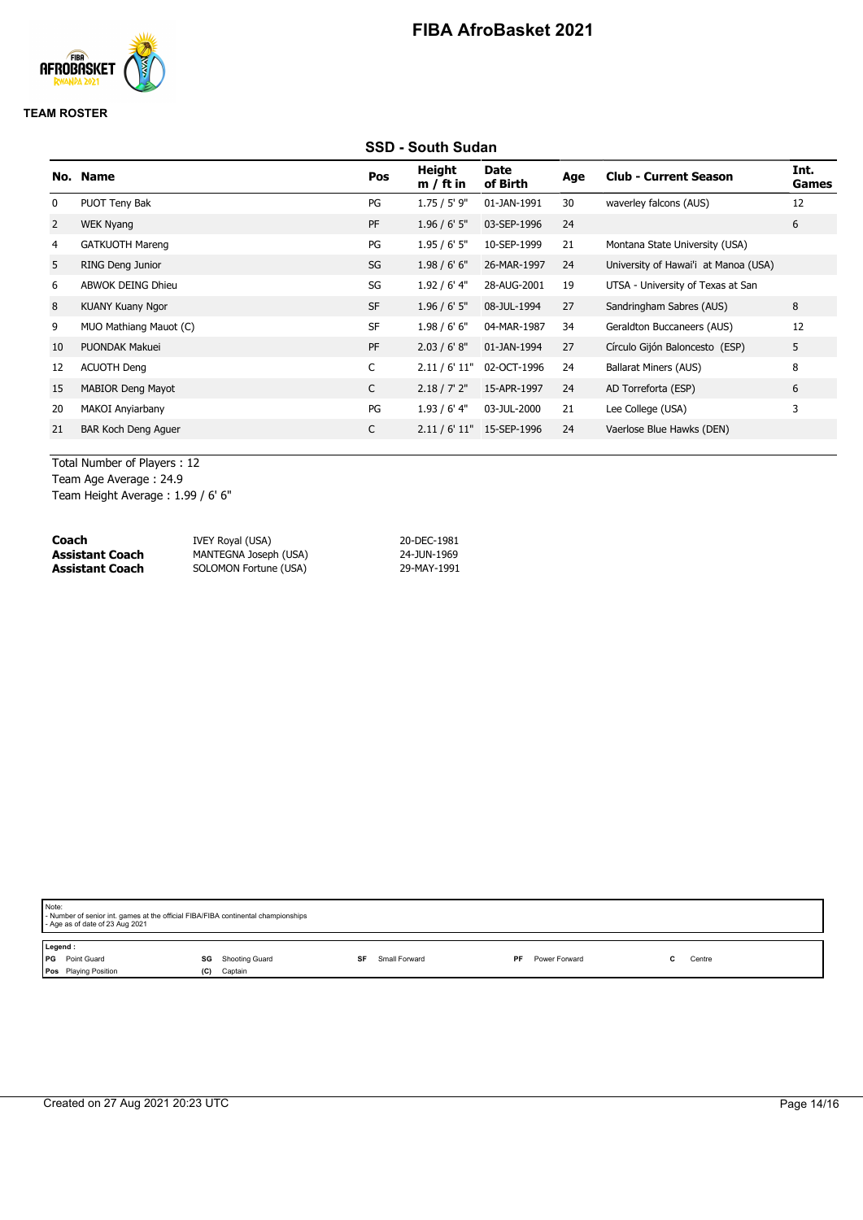

### **TEAM ROSTER**

### **SSD - South Sudan**

|    | No. Name                   | Pos       | <b>Height</b><br>$m / ft$ in | Date<br>of Birth | Age | <b>Club - Current Season</b>         | Int.<br>Games |
|----|----------------------------|-----------|------------------------------|------------------|-----|--------------------------------------|---------------|
| 0  | PUOT Teny Bak              | PG        | $1.75 / 5'$ 9"               | 01-JAN-1991      | 30  | waverley falcons (AUS)               | 12            |
| 2  | WEK Nyang                  | <b>PF</b> | $1.96 / 6'$ 5"               | 03-SEP-1996      | 24  |                                      | 6             |
| 4  | <b>GATKUOTH Mareng</b>     | PG        | 1.95/6'5''                   | 10-SEP-1999      | 21  | Montana State University (USA)       |               |
| 5  | RING Deng Junior           | SG        | 1.98/6'6''                   | 26-MAR-1997      | 24  | University of Hawai'i at Manoa (USA) |               |
| 6  | <b>ABWOK DEING Dhieu</b>   | SG        | $1.92/6'$ 4"                 | 28-AUG-2001      | 19  | UTSA - University of Texas at San    |               |
| 8  | <b>KUANY Kuany Ngor</b>    | <b>SF</b> | $1.96 / 6'$ 5"               | 08-JUL-1994      | 27  | Sandringham Sabres (AUS)             | 8             |
| 9  | MUO Mathiang Mauot (C)     | <b>SF</b> | 1.98/6'6''                   | 04-MAR-1987      | 34  | Geraldton Buccaneers (AUS)           | 12            |
| 10 | <b>PUONDAK Makuei</b>      | PF        | 2.03 / 6' 8''                | 01-JAN-1994      | 27  | Círculo Gijón Baloncesto (ESP)       | 5             |
| 12 | <b>ACUOTH Deng</b>         | C         | 2.11 / 6' 11"                | 02-OCT-1996      | 24  | <b>Ballarat Miners (AUS)</b>         | 8             |
| 15 | <b>MABIOR Deng Mayot</b>   | C         | 2.18 / 7' 2''                | 15-APR-1997      | 24  | AD Torreforta (ESP)                  | 6             |
| 20 | MAKOI Anyiarbany           | PG        | $1.93/6'$ 4"                 | 03-JUL-2000      | 21  | Lee College (USA)                    | 3             |
| 21 | <b>BAR Koch Deng Aguer</b> | C         | 2.11 / 6' 11"                | 15-SEP-1996      | 24  | Vaerlose Blue Hawks (DEN)            |               |
|    |                            |           |                              |                  |     |                                      |               |

Total Number of Players : 12 Team Age Average : 24.9

Team Height Average : 1.99 / 6' 6"

| Coach           | IVEY Royal (USA)      | 20-DEC-1981 |
|-----------------|-----------------------|-------------|
| Assistant Coach | MANTEGNA Joseph (USA) | 24-JUN-1969 |
| Assistant Coach | SOLOMON Fortune (USA) | 29-MAY-1991 |

| Note:<br>- Number of senior int. games at the official FIBA/FIBA continental championships<br>- Age as of date of 23 Aug 2021 |                                        |                     |    |               |  |        |  |  |
|-------------------------------------------------------------------------------------------------------------------------------|----------------------------------------|---------------------|----|---------------|--|--------|--|--|
| Legend:<br>PG Point Guard<br>Pos Playing Position                                                                             | Shooting Guard<br>SG<br>Captain<br>(C) | Small Forward<br>SF | PF | Power Forward |  | Centre |  |  |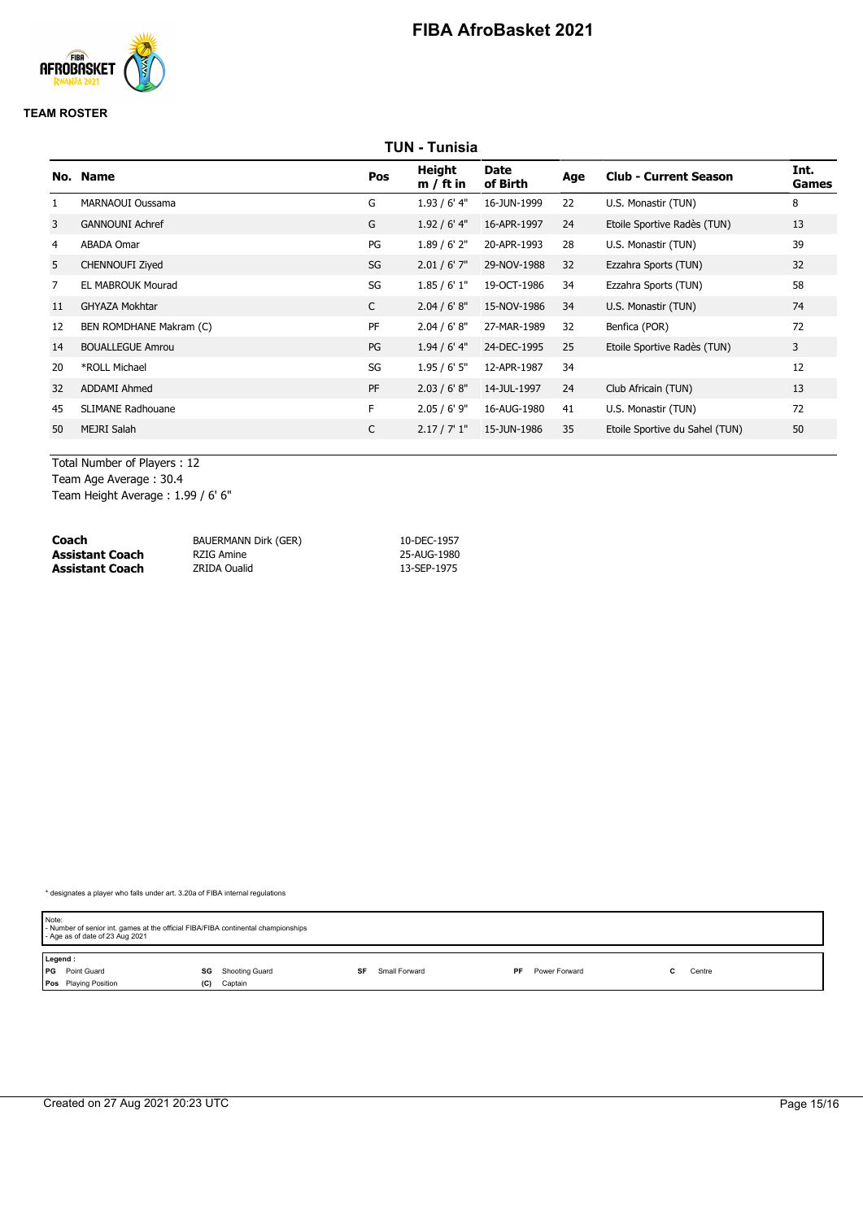

#### **TEAM ROSTER**

| TUN - Tunisia  |                          |     |                       |                  |     |                                |               |  |  |
|----------------|--------------------------|-----|-----------------------|------------------|-----|--------------------------------|---------------|--|--|
|                | No. Name                 | Pos | Height<br>$m / ft$ in | Date<br>of Birth | Age | <b>Club - Current Season</b>   | Int.<br>Games |  |  |
|                | MARNAOUI Oussama         | G   | $1.93/6'$ 4"          | 16-JUN-1999      | 22  | U.S. Monastir (TUN)            | 8             |  |  |
| 3              | <b>GANNOUNI Achref</b>   | G   | $1.92/6'$ 4"          | 16-APR-1997      | 24  | Etoile Sportive Radès (TUN)    | 13            |  |  |
| 4              | <b>ABADA Omar</b>        | PG  | $1.89/6'$ 2"          | 20-APR-1993      | 28  | U.S. Monastir (TUN)            | 39            |  |  |
| 5              | <b>CHENNOUFI Zived</b>   | SG  | $2.01 / 6'$ 7"        | 29-NOV-1988      | 32  | Ezzahra Sports (TUN)           | 32            |  |  |
| $\overline{7}$ | <b>EL MABROUK Mourad</b> | SG  | 1.85/6'1"             | 19-OCT-1986      | 34  | Ezzahra Sports (TUN)           | 58            |  |  |
| 11             | <b>GHYAZA Mokhtar</b>    | C   | 2.04 / 6' 8''         | 15-NOV-1986      | 34  | U.S. Monastir (TUN)            | 74            |  |  |
| 12             | BEN ROMDHANE Makram (C)  | PF  | 2.04 / 6' 8''         | 27-MAR-1989      | 32  | Benfica (POR)                  | 72            |  |  |
| 14             | <b>BOUALLEGUE Amrou</b>  | PG  | $1.94/6'$ 4"          | 24-DEC-1995      | 25  | Etoile Sportive Radès (TUN)    | 3             |  |  |
| 20             | *ROLL Michael            | SG  | 1.95/6'5''            | 12-APR-1987      | 34  |                                | 12            |  |  |
| 32             | <b>ADDAMI Ahmed</b>      | PF  | 2.03 / 6' 8''         | 14-JUL-1997      | 24  | Club Africain (TUN)            | 13            |  |  |
| 45             | <b>SLIMANE Radhouane</b> | F.  | $2.05 / 6'$ 9"        | 16-AUG-1980      | 41  | U.S. Monastir (TUN)            | 72            |  |  |
| 50             | <b>MEJRI Salah</b>       | C   | 2.17 / 7' 1''         | 15-JUN-1986      | 35  | Etoile Sportive du Sahel (TUN) | 50            |  |  |
|                |                          |     |                       |                  |     |                                |               |  |  |

Total Number of Players : 12 Team Age Average : 30.4

Team Height Average : 1.99 / 6' 6"

| Coach                  | BAUERMANN Dirk (GER) | 10-DEC-1957 |
|------------------------|----------------------|-------------|
| Assistant Coach        | RZIG Amine           | 25-AUG-1980 |
| <b>Assistant Coach</b> | <b>ZRIDA Oualid</b>  | 13-SEP-1975 |

| Note:<br>- Number of senior int. games at the official FIBA/FIBA continental championships<br>- Age as of date of 23 Aug 2021 |                      |                     |                     |        |  |  |  |  |
|-------------------------------------------------------------------------------------------------------------------------------|----------------------|---------------------|---------------------|--------|--|--|--|--|
| Legend:                                                                                                                       |                      |                     |                     |        |  |  |  |  |
| <b>PG</b> Point Guard                                                                                                         | Shooting Guard<br>SG | Small Forward<br>SF | Power Forward<br>PF | Centre |  |  |  |  |
| <b>Pos</b> Playing Position                                                                                                   | Captain<br>(C)       |                     |                     |        |  |  |  |  |